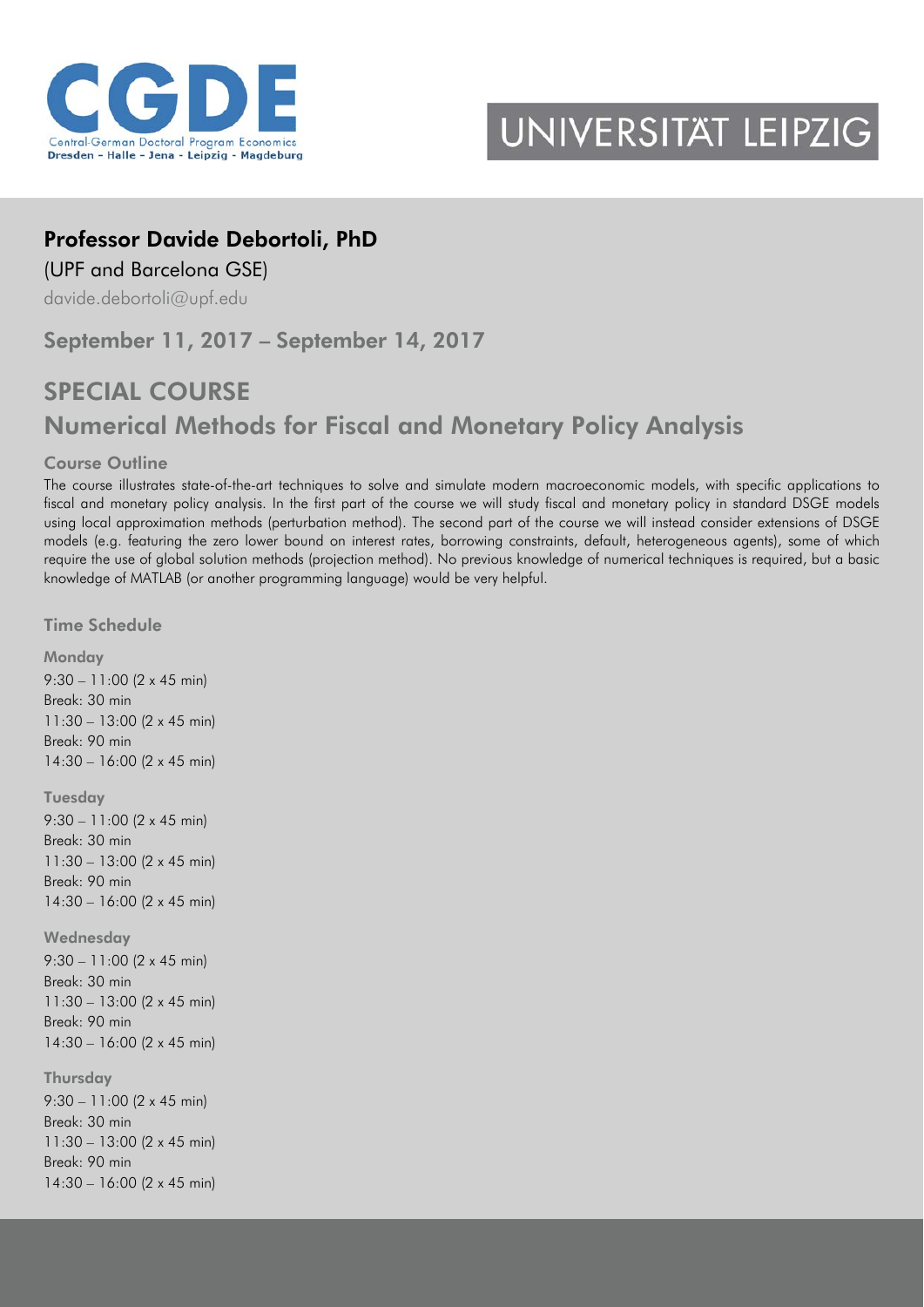

## UNIVERSITAT LEIPZIG

## Professor Davide Debortoli, PhD

(UPF and Barcelona GSE)

[davide.debortoli@upf.edu](mailto:davide.debortoli@upf.edu)

September 11, 2017 – September 14, 2017

## SPECIAL COURSE Numerical Methods for Fiscal and Monetary Policy Analysis

## Course Outline

The course illustrates state-of-the-art techniques to solve and simulate modern macroeconomic models, with specific applications to fiscal and monetary policy analysis. In the first part of the course we will study fiscal and monetary policy in standard DSGE models using local approximation methods (perturbation method). The second part of the course we will instead consider extensions of DSGE models (e.g. featuring the zero lower bound on interest rates, borrowing constraints, default, heterogeneous agents), some of which require the use of global solution methods (projection method). No previous knowledge of numerical techniques is required, but a basic knowledge of MATLAB (or another programming language) would be very helpful.

Time Schedule

**Monday** 

9:30 – 11:00 (2 x 45 min) Break: 30 min 11:30 – 13:00 (2 x 45 min) Break: 90 min 14:30 – 16:00 (2 x 45 min) Tuesday 9:30 – 11:00 (2 x 45 min) Break: 30 min 11:30 – 13:00 (2 x 45 min) Break: 90 min 14:30 – 16:00 (2 x 45 min) **Wednesday** 9:30 – 11:00 (2 x 45 min) Break: 30 min 11:30 – 13:00 (2 x 45 min) Break: 90 min 14:30 – 16:00 (2 x 45 min) **Thursday** 9:30 – 11:00 (2 x 45 min) Break: 30 min 11:30 – 13:00 (2 x 45 min) Break: 90 min

14:30 – 16:00 (2 x 45 min)